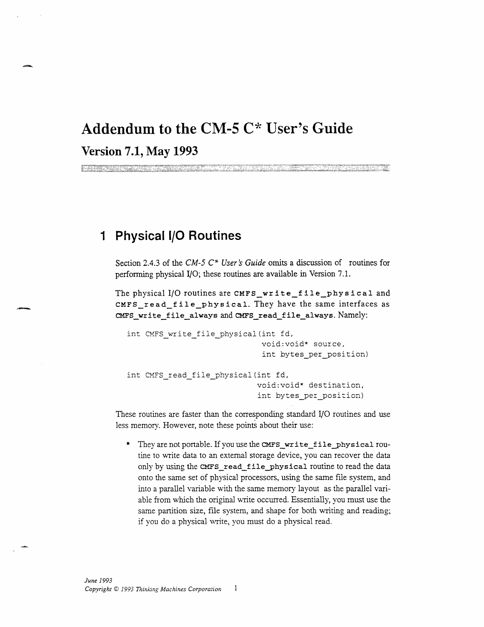## **Addendum to the CM-5 C\* User's Guide Version 7.1, May 1993**

## **1 Physical /O Routines**

Section 2.4.3 of the *CM-5 C\* User 's Guide* omits a discussion of routines for performing physical I/O; these routines are available in Version 7.1.

The physical I/O routines are **CMFS\_wr i te\_f ile\_phys i cal and** CMFS\_read\_file\_physical. They have the same interfaces as **CMFS\_write\_file\_always and CMFS\_read\_file\_always.** Namely:

```
int CMFS write file physical(int fd,
                             void:void* source,
                             int bytes_per_position)
int CMFS read file physical(int fd,
                            void:void* destination,
                            int bytes_per_position)
```
These routines are faster than the corresponding standard **I/O** routines and use less memory. However, note these points about their use:

They are not portable. If you use the CMFS\_write\_file\_physical routine to write data to an external storage device, you can recover the data only by using the **CMFS\_read\_filephysical** routine to read the data onto the same set of physical processors, using the same file system, and into a parallel variable with the same memory layout as the parallel variable from which the original write occurred. Essentially, you must use the same partition size, file system, and shape for both writing and reading; if you do a physical write, you must do a physical read.